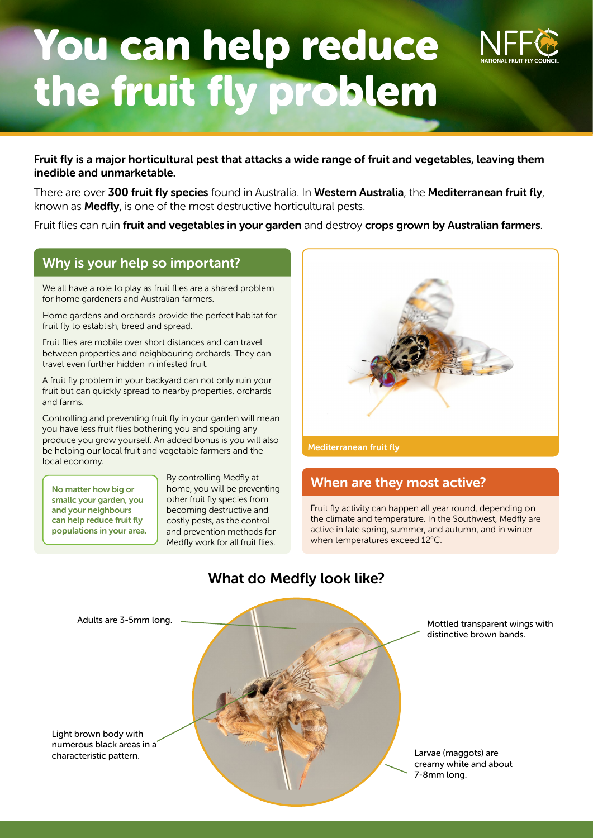# You can help reduce the fruit fly problem

Fruit fly is a major horticultural pest that attacks a wide range of fruit and vegetables, leaving them inedible and unmarketable.

There are over 300 fruit fly species found in Australia. In Western Australia, the Mediterranean fruit fly, known as **Medfly**, is one of the most destructive horticultural pests.

Fruit flies can ruin fruit and vegetables in your garden and destroy crops grown by Australian farmers.

### Why is your help so important?

We all have a role to play as fruit flies are a shared problem for home gardeners and Australian farmers.

Home gardens and orchards provide the perfect habitat for fruit fly to establish, breed and spread.

Fruit flies are mobile over short distances and can travel between properties and neighbouring orchards. They can travel even further hidden in infested fruit.

A fruit fly problem in your backyard can not only ruin your fruit but can quickly spread to nearby properties, orchards and farms.

Controlling and preventing fruit fly in your garden will mean you have less fruit flies bothering you and spoiling any produce you grow yourself. An added bonus is you will also be helping our local fruit and vegetable farmers and the local economy.

No matter how big or smallc your garden, you and your neighbours can help reduce fruit fly populations in your area.

By controlling Medfly at home, you will be preventing other fruit fly species from becoming destructive and costly pests, as the control and prevention methods for Medfly work for all fruit flies.



### When are they most active?

Fruit fly activity can happen all year round, depending on the climate and temperature. In the Southwest, Medfly are active in late spring, summer, and autumn, and in winter when temperatures exceed 12°C.



What do Medfly look like?

Mottled transparent wings with distinctive brown bands.

Larvae (maggots) are creamy white and about 7-8mm long.